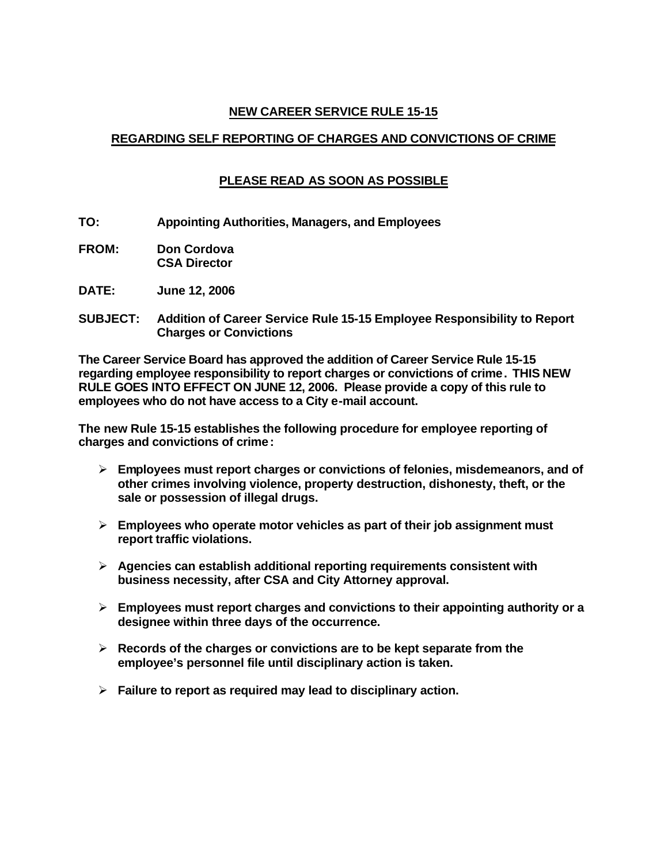## **NEW CAREER SERVICE RULE 15-15**

# **REGARDING SELF REPORTING OF CHARGES AND CONVICTIONS OF CRIME**

# **PLEASE READ AS SOON AS POSSIBLE**

- **TO: Appointing Authorities, Managers, and Employees**
- **FROM: Don Cordova CSA Director**
- **DATE: June 12, 2006**
- **SUBJECT: Addition of Career Service Rule 15-15 Employee Responsibility to Report Charges or Convictions**

**The Career Service Board has approved the addition of Career Service Rule 15-15 regarding employee responsibility to report charges or convictions of crime. THIS NEW RULE GOES INTO EFFECT ON JUNE 12, 2006. Please provide a copy of this rule to employees who do not have access to a City e-mail account.**

**The new Rule 15-15 establishes the following procedure for employee reporting of charges and convictions of crime:**

- ÿ **Employees must report charges or convictions of felonies, misdemeanors, and of other crimes involving violence, property destruction, dishonesty, theft, or the sale or possession of illegal drugs.**
- ÿ **Employees who operate motor vehicles as part of their job assignment must report traffic violations.**
- ÿ **Agencies can establish additional reporting requirements consistent with business necessity, after CSA and City Attorney approval.**
- ÿ **Employees must report charges and convictions to their appointing authority or a designee within three days of the occurrence.**
- ÿ **Records of the charges or convictions are to be kept separate from the employee's personnel file until disciplinary action is taken.**
- ÿ **Failure to report as required may lead to disciplinary action.**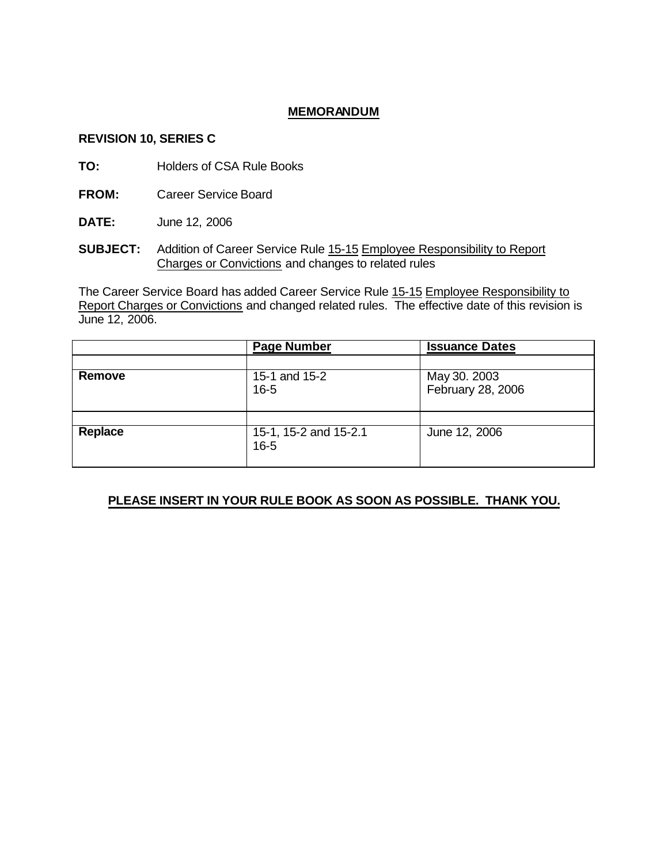### **MEMORANDUM**

### **REVISION 10, SERIES C**

- **TO:** Holders of CSA Rule Books
- **FROM:** Career Service Board
- **DATE:** June 12, 2006
- **SUBJECT:** Addition of Career Service Rule 15-15 Employee Responsibility to Report Charges or Convictions and changes to related rules

The Career Service Board has added Career Service Rule 15-15 Employee Responsibility to Report Charges or Convictions and changed related rules. The effective date of this revision is June 12, 2006.

|         | <b>Page Number</b>                | <b>Issuance Dates</b>             |
|---------|-----------------------------------|-----------------------------------|
|         |                                   |                                   |
| Remove  | 15-1 and 15-2<br>$16 - 5$         | May 30. 2003<br>February 28, 2006 |
|         |                                   |                                   |
| Replace | 15-1, 15-2 and 15-2.1<br>$16 - 5$ | June 12, 2006                     |

## **PLEASE INSERT IN YOUR RULE BOOK AS SOON AS POSSIBLE. THANK YOU.**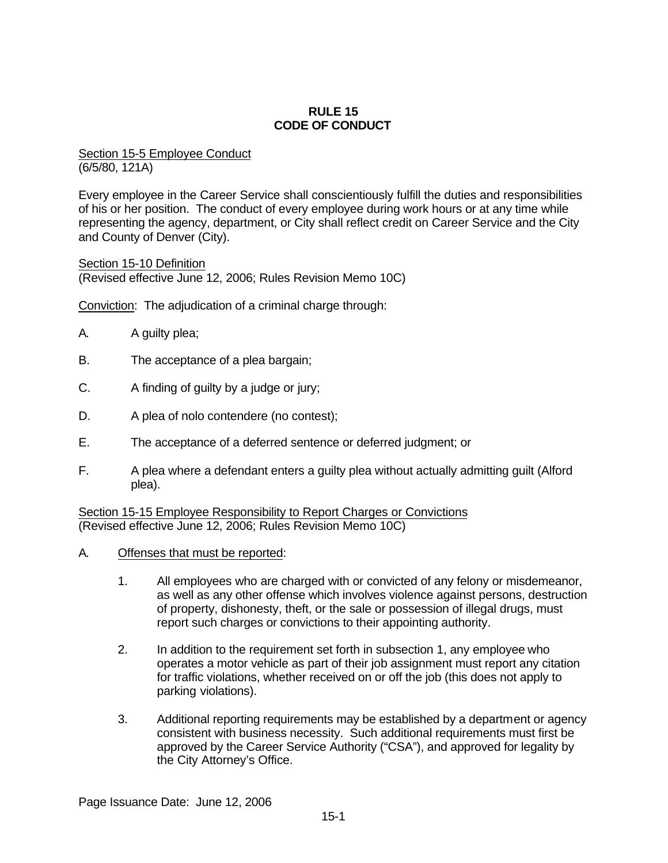## **RULE 15 CODE OF CONDUCT**

Section 15-5 Employee Conduct (6/5/80, 121A)

Every employee in the Career Service shall conscientiously fulfill the duties and responsibilities of his or her position. The conduct of every employee during work hours or at any time while representing the agency, department, or City shall reflect credit on Career Service and the City and County of Denver (City).

Section 15-10 Definition (Revised effective June 12, 2006; Rules Revision Memo 10C)

Conviction: The adjudication of a criminal charge through:

- A. A guilty plea;
- B. The acceptance of a plea bargain;
- C. A finding of guilty by a judge or jury;
- D. A plea of nolo contendere (no contest);
- E. The acceptance of a deferred sentence or deferred judgment; or
- F. A plea where a defendant enters a guilty plea without actually admitting guilt (Alford plea).

Section 15-15 Employee Responsibility to Report Charges or Convictions (Revised effective June 12, 2006; Rules Revision Memo 10C)

- A. Offenses that must be reported:
	- 1. All employees who are charged with or convicted of any felony or misdemeanor, as well as any other offense which involves violence against persons, destruction of property, dishonesty, theft, or the sale or possession of illegal drugs, must report such charges or convictions to their appointing authority.
	- 2. In addition to the requirement set forth in subsection 1, any employee who operates a motor vehicle as part of their job assignment must report any citation for traffic violations, whether received on or off the job (this does not apply to parking violations).
	- 3. Additional reporting requirements may be established by a department or agency consistent with business necessity. Such additional requirements must first be approved by the Career Service Authority ("CSA"), and approved for legality by the City Attorney's Office.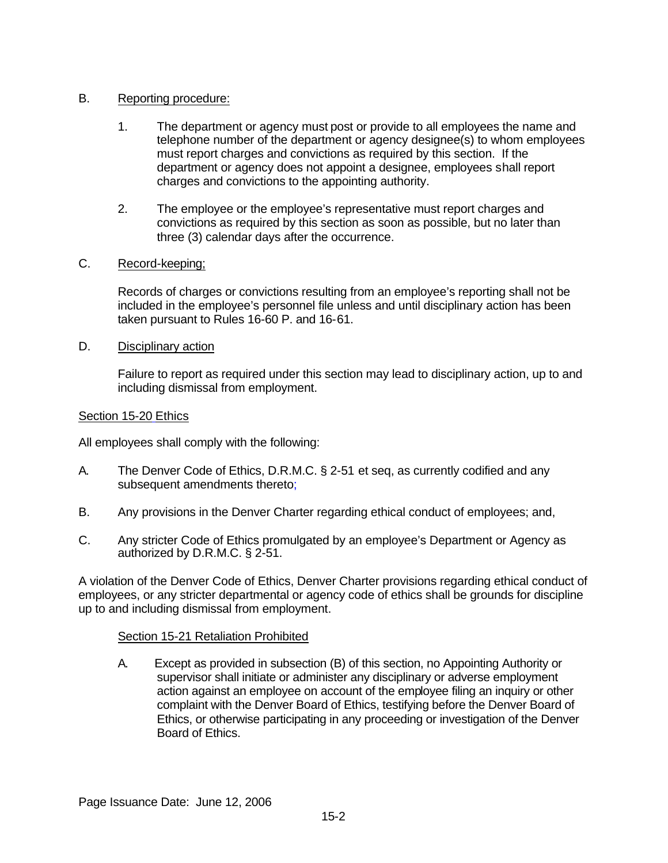## B. Reporting procedure:

- 1. The department or agency must post or provide to all employees the name and telephone number of the department or agency designee(s) to whom employees must report charges and convictions as required by this section. If the department or agency does not appoint a designee, employees shall report charges and convictions to the appointing authority.
- 2. The employee or the employee's representative must report charges and convictions as required by this section as soon as possible, but no later than three (3) calendar days after the occurrence.

## C. Record-keeping;

Records of charges or convictions resulting from an employee's reporting shall not be included in the employee's personnel file unless and until disciplinary action has been taken pursuant to Rules 16-60 P. and 16-61.

## D. Disciplinary action

Failure to report as required under this section may lead to disciplinary action, up to and including dismissal from employment.

## Section 15-20 Ethics

All employees shall comply with the following:

- A. The Denver Code of Ethics, D.R.M.C. § 2-51 et seq, as currently codified and any subsequent amendments thereto;
- B. Any provisions in the Denver Charter regarding ethical conduct of employees; and,
- C. Any stricter Code of Ethics promulgated by an employee's Department or Agency as authorized by D.R.M.C. § 2-51.

A violation of the Denver Code of Ethics, Denver Charter provisions regarding ethical conduct of employees, or any stricter departmental or agency code of ethics shall be grounds for discipline up to and including dismissal from employment.

## Section 15-21 Retaliation Prohibited

A. Except as provided in subsection (B) of this section, no Appointing Authority or supervisor shall initiate or administer any disciplinary or adverse employment action against an employee on account of the employee filing an inquiry or other complaint with the Denver Board of Ethics, testifying before the Denver Board of Ethics, or otherwise participating in any proceeding or investigation of the Denver Board of Ethics.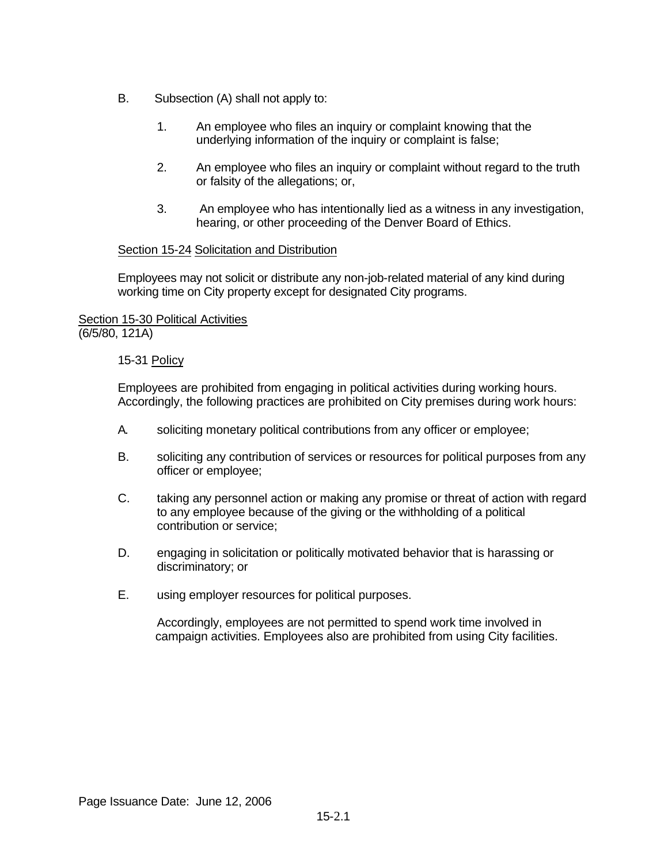- B. Subsection (A) shall not apply to:
	- 1. An employee who files an inquiry or complaint knowing that the underlying information of the inquiry or complaint is false;
	- 2. An employee who files an inquiry or complaint without regard to the truth or falsity of the allegations; or,
	- 3. An employee who has intentionally lied as a witness in any investigation, hearing, or other proceeding of the Denver Board of Ethics.

## Section 15-24 Solicitation and Distribution

Employees may not solicit or distribute any non-job-related material of any kind during working time on City property except for designated City programs.

## Section 15-30 Political Activities (6/5/80, 121A)

### 15-31 Policy

Employees are prohibited from engaging in political activities during working hours. Accordingly, the following practices are prohibited on City premises during work hours:

- A. soliciting monetary political contributions from any officer or employee;
- B. soliciting any contribution of services or resources for political purposes from any officer or employee;
- C. taking any personnel action or making any promise or threat of action with regard to any employee because of the giving or the withholding of a political contribution or service;
- D. engaging in solicitation or politically motivated behavior that is harassing or discriminatory; or
- E. using employer resources for political purposes.

Accordingly, employees are not permitted to spend work time involved in campaign activities. Employees also are prohibited from using City facilities.